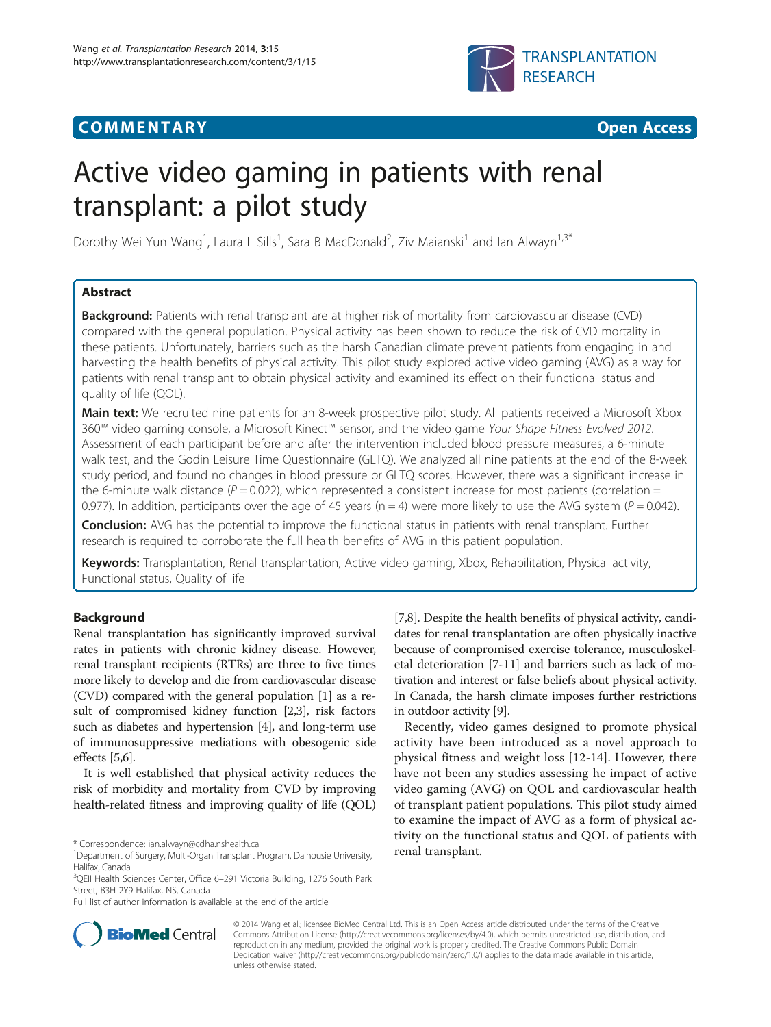# **COMMENTARY COMMENTARY COMMENTARY**



# Active video gaming in patients with renal transplant: a pilot study

Dorothy Wei Yun Wang<sup>1</sup>, Laura L Sills<sup>1</sup>, Sara B MacDonald<sup>2</sup>, Ziv Maianski<sup>1</sup> and Ian Alwayn<sup>1,3\*</sup>

# Abstract

**Background:** Patients with renal transplant are at higher risk of mortality from cardiovascular disease (CVD) compared with the general population. Physical activity has been shown to reduce the risk of CVD mortality in these patients. Unfortunately, barriers such as the harsh Canadian climate prevent patients from engaging in and harvesting the health benefits of physical activity. This pilot study explored active video gaming (AVG) as a way for patients with renal transplant to obtain physical activity and examined its effect on their functional status and quality of life (QOL).

Main text: We recruited nine patients for an 8-week prospective pilot study. All patients received a Microsoft Xbox 360™ video gaming console, a Microsoft Kinect™ sensor, and the video game Your Shape Fitness Evolved 2012. Assessment of each participant before and after the intervention included blood pressure measures, a 6-minute walk test, and the Godin Leisure Time Questionnaire (GLTQ). We analyzed all nine patients at the end of the 8-week study period, and found no changes in blood pressure or GLTQ scores. However, there was a significant increase in the 6-minute walk distance ( $P = 0.022$ ), which represented a consistent increase for most patients (correlation = 0.977). In addition, participants over the age of 45 years ( $n = 4$ ) were more likely to use the AVG system ( $P = 0.042$ ).

**Conclusion:** AVG has the potential to improve the functional status in patients with renal transplant. Further research is required to corroborate the full health benefits of AVG in this patient population.

Keywords: Transplantation, Renal transplantation, Active video gaming, Xbox, Rehabilitation, Physical activity, Functional status, Quality of life

# Background

Renal transplantation has significantly improved survival rates in patients with chronic kidney disease. However, renal transplant recipients (RTRs) are three to five times more likely to develop and die from cardiovascular disease (CVD) compared with the general population [[1\]](#page-4-0) as a result of compromised kidney function [\[2,3\]](#page-4-0), risk factors such as diabetes and hypertension [\[4](#page-4-0)], and long-term use of immunosuppressive mediations with obesogenic side effects [[5,6\]](#page-4-0).

It is well established that physical activity reduces the risk of morbidity and mortality from CVD by improving health-related fitness and improving quality of life (QOL)

[[7,8\]](#page-4-0). Despite the health benefits of physical activity, candidates for renal transplantation are often physically inactive because of compromised exercise tolerance, musculoskeletal deterioration [[7-11\]](#page-4-0) and barriers such as lack of motivation and interest or false beliefs about physical activity. In Canada, the harsh climate imposes further restrictions in outdoor activity [\[9\]](#page-4-0).

Recently, video games designed to promote physical activity have been introduced as a novel approach to physical fitness and weight loss [[12-14](#page-4-0)]. However, there have not been any studies assessing he impact of active video gaming (AVG) on QOL and cardiovascular health of transplant patient populations. This pilot study aimed to examine the impact of AVG as a form of physical activity on the functional status and QOL of patients with



© 2014 Wang et al.; licensee BioMed Central Ltd. This is an Open Access article distributed under the terms of the Creative Commons Attribution License [\(http://creativecommons.org/licenses/by/4.0\)](http://creativecommons.org/licenses/by/4.0), which permits unrestricted use, distribution, and reproduction in any medium, provided the original work is properly credited. The Creative Commons Public Domain Dedication waiver [\(http://creativecommons.org/publicdomain/zero/1.0/](http://creativecommons.org/publicdomain/zero/1.0/)) applies to the data made available in this article, unless otherwise stated.

<sup>\*</sup> Correspondence: [ian.alwayn@cdha.nshealth.ca](mailto:ian.alwayn@cdha.nshealth.ca)<br><sup>1</sup> Department of Surgery, Multi-Organ Transplant Program, Dalhousie University, **Transplant** Halifax, Canada

<sup>3</sup> QEII Health Sciences Center, Office 6–291 Victoria Building, 1276 South Park Street, B3H 2Y9 Halifax, NS, Canada

Full list of author information is available at the end of the article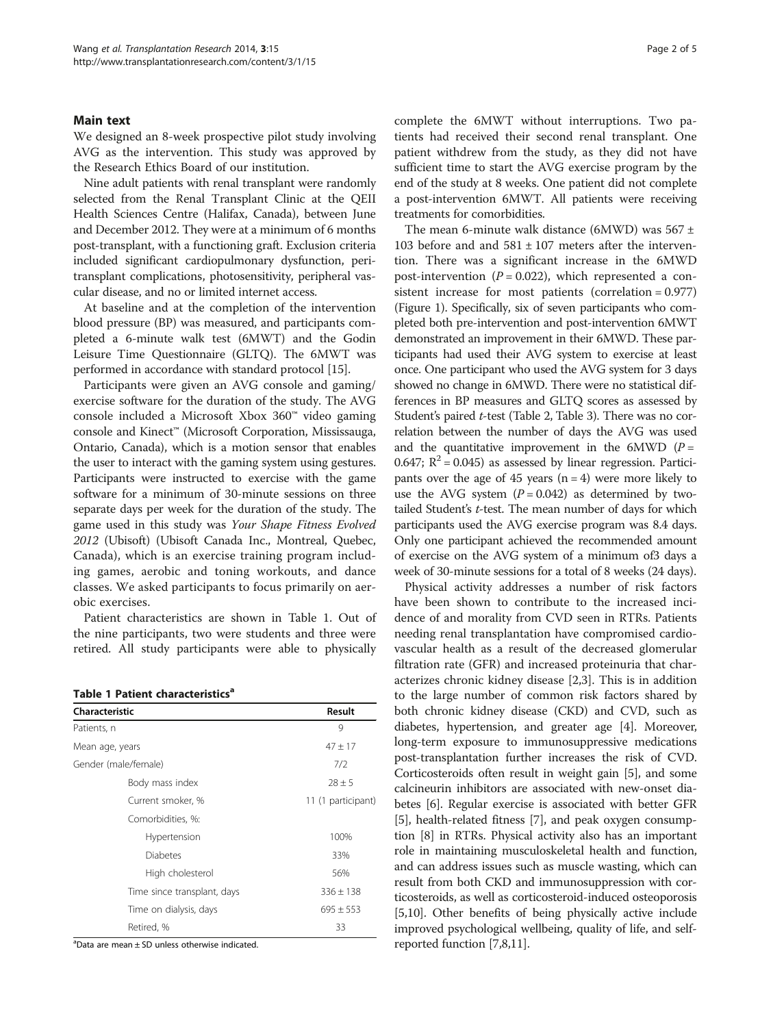# Main text

We designed an 8-week prospective pilot study involving AVG as the intervention. This study was approved by the Research Ethics Board of our institution.

Nine adult patients with renal transplant were randomly selected from the Renal Transplant Clinic at the QEII Health Sciences Centre (Halifax, Canada), between June and December 2012. They were at a minimum of 6 months post-transplant, with a functioning graft. Exclusion criteria included significant cardiopulmonary dysfunction, peritransplant complications, photosensitivity, peripheral vascular disease, and no or limited internet access.

At baseline and at the completion of the intervention blood pressure (BP) was measured, and participants completed a 6-minute walk test (6MWT) and the Godin Leisure Time Questionnaire (GLTQ). The 6MWT was performed in accordance with standard protocol [\[15\]](#page-4-0).

Participants were given an AVG console and gaming/ exercise software for the duration of the study. The AVG console included a Microsoft Xbox 360™ video gaming console and Kinect™ (Microsoft Corporation, Mississauga, Ontario, Canada), which is a motion sensor that enables the user to interact with the gaming system using gestures. Participants were instructed to exercise with the game software for a minimum of 30-minute sessions on three separate days per week for the duration of the study. The game used in this study was Your Shape Fitness Evolved 2012 (Ubisoft) (Ubisoft Canada Inc., Montreal, Quebec, Canada), which is an exercise training program including games, aerobic and toning workouts, and dance classes. We asked participants to focus primarily on aerobic exercises.

Patient characteristics are shown in Table 1. Out of the nine participants, two were students and three were retired. All study participants were able to physically

|  | Table 1 Patient characteristics <sup>a</sup> |
|--|----------------------------------------------|
|  |                                              |

| Characteristic              | Result             |  |
|-----------------------------|--------------------|--|
|                             |                    |  |
| Patients, n                 | 9                  |  |
| Mean age, years             | $47 \pm 17$        |  |
| Gender (male/female)        | 7/2                |  |
| Body mass index             | $28 \pm 5$         |  |
| Current smoker, %           | 11 (1 participant) |  |
| Comorbidities, %:           |                    |  |
| Hypertension                | 100%               |  |
| <b>Diabetes</b>             | 33%                |  |
| High cholesterol            | 56%                |  |
| Time since transplant, days | $336 \pm 138$      |  |
| Time on dialysis, days      | $695 \pm 553$      |  |
| Retired, %                  | 33                 |  |

a Data are mean ± SD unless otherwise indicated.

complete the 6MWT without interruptions. Two patients had received their second renal transplant. One patient withdrew from the study, as they did not have sufficient time to start the AVG exercise program by the end of the study at 8 weeks. One patient did not complete a post-intervention 6MWT. All patients were receiving treatments for comorbidities.

The mean 6-minute walk distance (6MWD) was  $567 \pm$ 103 before and and  $581 \pm 107$  meters after the intervention. There was a significant increase in the 6MWD post-intervention ( $P = 0.022$ ), which represented a consistent increase for most patients (correlation = 0.977) (Figure [1\)](#page-2-0). Specifically, six of seven participants who completed both pre-intervention and post-intervention 6MWT demonstrated an improvement in their 6MWD. These participants had used their AVG system to exercise at least once. One participant who used the AVG system for 3 days showed no change in 6MWD. There were no statistical differences in BP measures and GLTQ scores as assessed by Student's paired t-test (Table [2](#page-2-0), Table [3](#page-2-0)). There was no correlation between the number of days the AVG was used and the quantitative improvement in the 6MWD ( $P =$ 0.647;  $R^2$  = 0.045) as assessed by linear regression. Participants over the age of 45 years  $(n = 4)$  were more likely to use the AVG system  $(P = 0.042)$  as determined by twotailed Student's t-test. The mean number of days for which participants used the AVG exercise program was 8.4 days. Only one participant achieved the recommended amount of exercise on the AVG system of a minimum of3 days a week of 30-minute sessions for a total of 8 weeks (24 days).

Physical activity addresses a number of risk factors have been shown to contribute to the increased incidence of and morality from CVD seen in RTRs. Patients needing renal transplantation have compromised cardiovascular health as a result of the decreased glomerular filtration rate (GFR) and increased proteinuria that characterizes chronic kidney disease [\[2,3](#page-4-0)]. This is in addition to the large number of common risk factors shared by both chronic kidney disease (CKD) and CVD, such as diabetes, hypertension, and greater age [[4\]](#page-4-0). Moreover, long-term exposure to immunosuppressive medications post-transplantation further increases the risk of CVD. Corticosteroids often result in weight gain [\[5](#page-4-0)], and some calcineurin inhibitors are associated with new-onset diabetes [\[6](#page-4-0)]. Regular exercise is associated with better GFR [[5\]](#page-4-0), health-related fitness [\[7](#page-4-0)], and peak oxygen consumption [[8\]](#page-4-0) in RTRs. Physical activity also has an important role in maintaining musculoskeletal health and function, and can address issues such as muscle wasting, which can result from both CKD and immunosuppression with corticosteroids, as well as corticosteroid-induced osteoporosis [[5,10](#page-4-0)]. Other benefits of being physically active include improved psychological wellbeing, quality of life, and selfreported function [[7,8](#page-4-0),[11](#page-4-0)].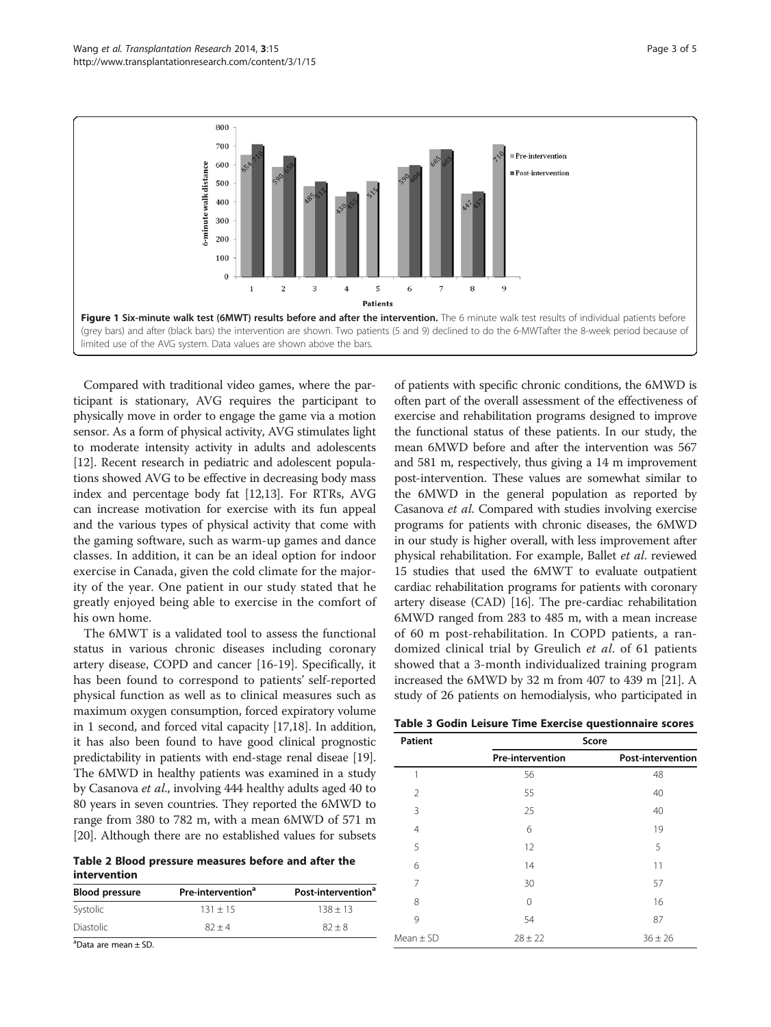<span id="page-2-0"></span>

Compared with traditional video games, where the participant is stationary, AVG requires the participant to physically move in order to engage the game via a motion sensor. As a form of physical activity, AVG stimulates light to moderate intensity activity in adults and adolescents [[12](#page-4-0)]. Recent research in pediatric and adolescent populations showed AVG to be effective in decreasing body mass index and percentage body fat [\[12,13\]](#page-4-0). For RTRs, AVG can increase motivation for exercise with its fun appeal and the various types of physical activity that come with the gaming software, such as warm-up games and dance classes. In addition, it can be an ideal option for indoor exercise in Canada, given the cold climate for the majority of the year. One patient in our study stated that he greatly enjoyed being able to exercise in the comfort of his own home.

The 6MWT is a validated tool to assess the functional status in various chronic diseases including coronary artery disease, COPD and cancer [\[16](#page-4-0)-[19\]](#page-4-0). Specifically, it has been found to correspond to patients' self-reported physical function as well as to clinical measures such as maximum oxygen consumption, forced expiratory volume in 1 second, and forced vital capacity [\[17,18](#page-4-0)]. In addition, it has also been found to have good clinical prognostic predictability in patients with end-stage renal diseae [[19](#page-4-0)]. The 6MWD in healthy patients was examined in a study by Casanova et al., involving 444 healthy adults aged 40 to 80 years in seven countries. They reported the 6MWD to range from 380 to 782 m, with a mean 6MWD of 571 m [[20](#page-4-0)]. Although there are no established values for subsets

Table 2 Blood pressure measures before and after the intervention

| <b>Blood pressure</b> | Pre-intervention <sup>ª</sup> | Post-intervention <sup>a</sup> |  |
|-----------------------|-------------------------------|--------------------------------|--|
| Systolic              | $131 + 15$                    | $138 + 13$                     |  |
| <b>Diastolic</b>      | $82 + 4$                      | $82 + 8$                       |  |

a Data are mean ± SD.

of patients with specific chronic conditions, the 6MWD is often part of the overall assessment of the effectiveness of exercise and rehabilitation programs designed to improve the functional status of these patients. In our study, the mean 6MWD before and after the intervention was 567 and 581 m, respectively, thus giving a 14 m improvement post-intervention. These values are somewhat similar to the 6MWD in the general population as reported by Casanova et al. Compared with studies involving exercise programs for patients with chronic diseases, the 6MWD in our study is higher overall, with less improvement after physical rehabilitation. For example, Ballet et al. reviewed 15 studies that used the 6MWT to evaluate outpatient cardiac rehabilitation programs for patients with coronary artery disease (CAD) [[16](#page-4-0)]. The pre-cardiac rehabilitation 6MWD ranged from 283 to 485 m, with a mean increase of 60 m post-rehabilitation. In COPD patients, a randomized clinical trial by Greulich et al. of 61 patients showed that a 3-month individualized training program increased the 6MWD by 32 m from 407 to 439 m [[21](#page-4-0)]. A study of 26 patients on hemodialysis, who participated in

| Table 3 Godin Leisure Time Exercise questionnaire scores |  |  |  |  |
|----------------------------------------------------------|--|--|--|--|
|----------------------------------------------------------|--|--|--|--|

| <b>Patient</b> | Score            |                          |  |
|----------------|------------------|--------------------------|--|
|                | Pre-intervention | <b>Post-intervention</b> |  |
| 1              | 56               | 48                       |  |
| $\overline{2}$ | 55               | 40                       |  |
| 3              | 25               | 40                       |  |
| $\overline{4}$ | 6                | 19                       |  |
| 5              | 12               | 5                        |  |
| 6              | 14               | 11                       |  |
| 7              | 30               | 57                       |  |
| 8              | $\Omega$         | 16                       |  |
| 9              | 54               | 87                       |  |
| $Mean \pm SD$  | $28 \pm 22$      | $36 \pm 26$              |  |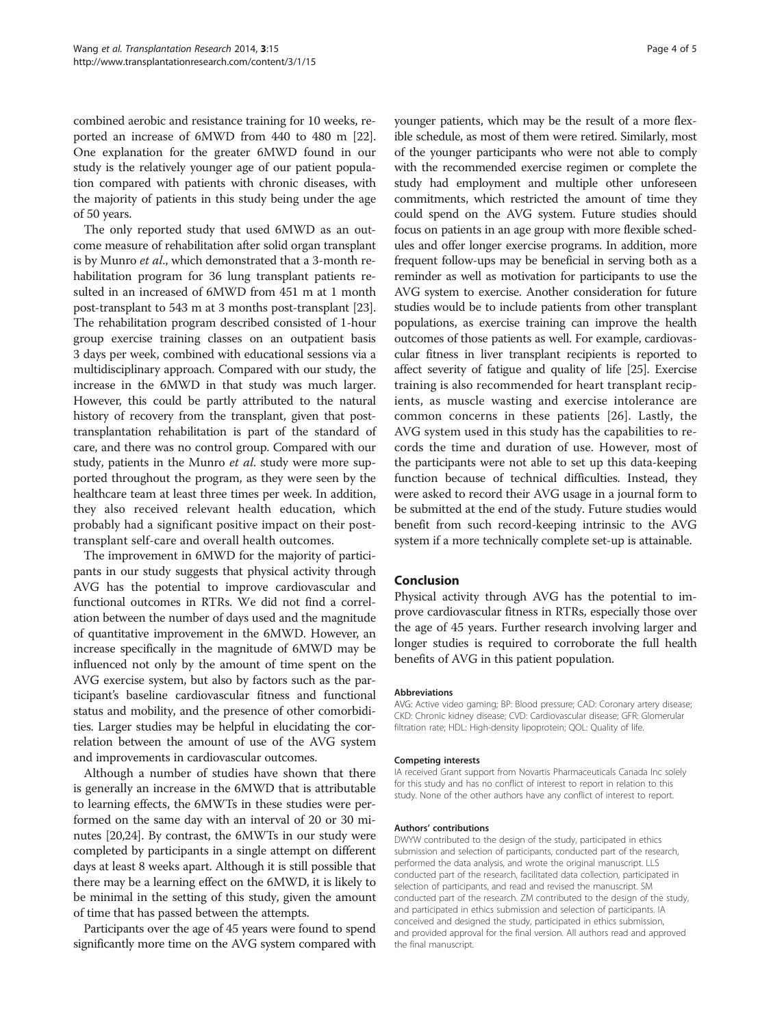combined aerobic and resistance training for 10 weeks, reported an increase of 6MWD from 440 to 480 m [[22](#page-4-0)]. One explanation for the greater 6MWD found in our study is the relatively younger age of our patient population compared with patients with chronic diseases, with the majority of patients in this study being under the age of 50 years.

The only reported study that used 6MWD as an outcome measure of rehabilitation after solid organ transplant is by Munro et al., which demonstrated that a 3-month rehabilitation program for 36 lung transplant patients resulted in an increased of 6MWD from 451 m at 1 month post-transplant to 543 m at 3 months post-transplant [[23](#page-4-0)]. The rehabilitation program described consisted of 1-hour group exercise training classes on an outpatient basis 3 days per week, combined with educational sessions via a multidisciplinary approach. Compared with our study, the increase in the 6MWD in that study was much larger. However, this could be partly attributed to the natural history of recovery from the transplant, given that posttransplantation rehabilitation is part of the standard of care, and there was no control group. Compared with our study, patients in the Munro et al. study were more supported throughout the program, as they were seen by the healthcare team at least three times per week. In addition, they also received relevant health education, which probably had a significant positive impact on their posttransplant self-care and overall health outcomes.

The improvement in 6MWD for the majority of participants in our study suggests that physical activity through AVG has the potential to improve cardiovascular and functional outcomes in RTRs. We did not find a correlation between the number of days used and the magnitude of quantitative improvement in the 6MWD. However, an increase specifically in the magnitude of 6MWD may be influenced not only by the amount of time spent on the AVG exercise system, but also by factors such as the participant's baseline cardiovascular fitness and functional status and mobility, and the presence of other comorbidities. Larger studies may be helpful in elucidating the correlation between the amount of use of the AVG system and improvements in cardiovascular outcomes.

Although a number of studies have shown that there is generally an increase in the 6MWD that is attributable to learning effects, the 6MWTs in these studies were performed on the same day with an interval of 20 or 30 minutes [[20,24](#page-4-0)]. By contrast, the 6MWTs in our study were completed by participants in a single attempt on different days at least 8 weeks apart. Although it is still possible that there may be a learning effect on the 6MWD, it is likely to be minimal in the setting of this study, given the amount of time that has passed between the attempts.

Participants over the age of 45 years were found to spend significantly more time on the AVG system compared with younger patients, which may be the result of a more flexible schedule, as most of them were retired. Similarly, most of the younger participants who were not able to comply with the recommended exercise regimen or complete the study had employment and multiple other unforeseen commitments, which restricted the amount of time they could spend on the AVG system. Future studies should focus on patients in an age group with more flexible schedules and offer longer exercise programs. In addition, more frequent follow-ups may be beneficial in serving both as a reminder as well as motivation for participants to use the AVG system to exercise. Another consideration for future studies would be to include patients from other transplant populations, as exercise training can improve the health outcomes of those patients as well. For example, cardiovascular fitness in liver transplant recipients is reported to affect severity of fatigue and quality of life [\[25\]](#page-4-0). Exercise training is also recommended for heart transplant recipients, as muscle wasting and exercise intolerance are common concerns in these patients [\[26](#page-4-0)]. Lastly, the AVG system used in this study has the capabilities to records the time and duration of use. However, most of the participants were not able to set up this data-keeping function because of technical difficulties. Instead, they were asked to record their AVG usage in a journal form to be submitted at the end of the study. Future studies would benefit from such record-keeping intrinsic to the AVG system if a more technically complete set-up is attainable.

## Conclusion

Physical activity through AVG has the potential to improve cardiovascular fitness in RTRs, especially those over the age of 45 years. Further research involving larger and longer studies is required to corroborate the full health benefits of AVG in this patient population.

#### Abbreviations

AVG: Active video gaming; BP: Blood pressure; CAD: Coronary artery disease; CKD: Chronic kidney disease; CVD: Cardiovascular disease; GFR: Glomerular filtration rate; HDL: High-density lipoprotein; QOL: Quality of life.

#### Competing interests

IA received Grant support from Novartis Pharmaceuticals Canada Inc solely for this study and has no conflict of interest to report in relation to this study. None of the other authors have any conflict of interest to report.

#### Authors' contributions

DWYW contributed to the design of the study, participated in ethics submission and selection of participants, conducted part of the research, performed the data analysis, and wrote the original manuscript. LLS conducted part of the research, facilitated data collection, participated in selection of participants, and read and revised the manuscript. SM conducted part of the research. ZM contributed to the design of the study, and participated in ethics submission and selection of participants. IA conceived and designed the study, participated in ethics submission, and provided approval for the final version. All authors read and approved the final manuscript.